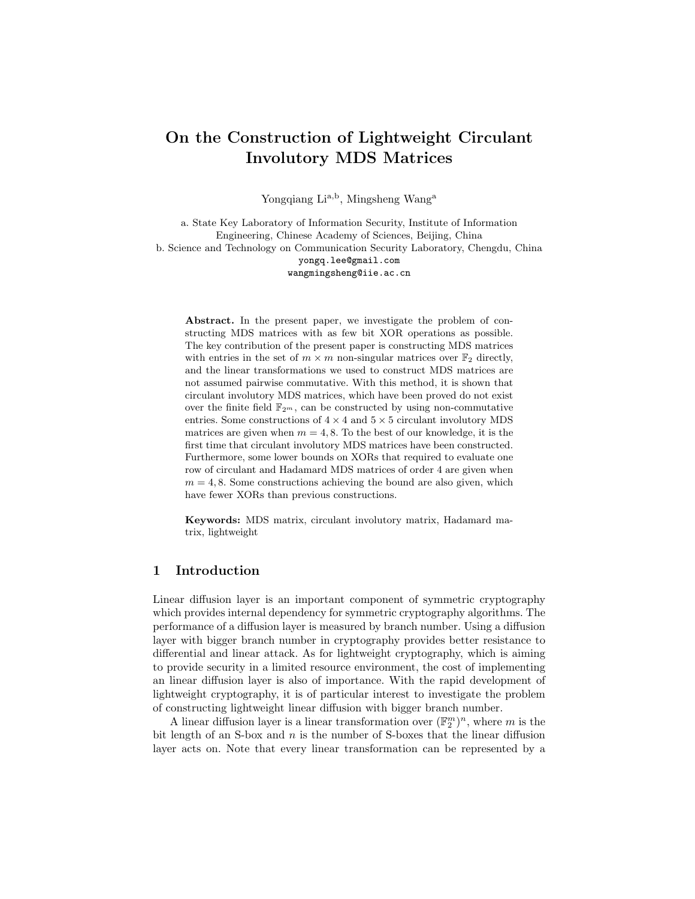# On the Construction of Lightweight Circulant Involutory MDS Matrices

Yongqiang Li<sup>a,b</sup>, Mingsheng Wang<sup>a</sup>

a. State Key Laboratory of Information Security, Institute of Information Engineering, Chinese Academy of Sciences, Beijing, China b. Science and Technology on Communication Security Laboratory, Chengdu, China yongq.lee@gmail.com wangmingsheng@iie.ac.cn

Abstract. In the present paper, we investigate the problem of constructing MDS matrices with as few bit XOR operations as possible. The key contribution of the present paper is constructing MDS matrices with entries in the set of  $m \times m$  non-singular matrices over  $\mathbb{F}_2$  directly, and the linear transformations we used to construct MDS matrices are not assumed pairwise commutative. With this method, it is shown that circulant involutory MDS matrices, which have been proved do not exist over the finite field  $\mathbb{F}_{2m}$ , can be constructed by using non-commutative entries. Some constructions of  $4 \times 4$  and  $5 \times 5$  circulant involutory MDS matrices are given when  $m = 4, 8$ . To the best of our knowledge, it is the first time that circulant involutory MDS matrices have been constructed. Furthermore, some lower bounds on XORs that required to evaluate one row of circulant and Hadamard MDS matrices of order 4 are given when  $m = 4, 8$ . Some constructions achieving the bound are also given, which have fewer XORs than previous constructions.

Keywords: MDS matrix, circulant involutory matrix, Hadamard matrix, lightweight

# 1 Introduction

Linear diffusion layer is an important component of symmetric cryptography which provides internal dependency for symmetric cryptography algorithms. The performance of a diffusion layer is measured by branch number. Using a diffusion layer with bigger branch number in cryptography provides better resistance to differential and linear attack. As for lightweight cryptography, which is aiming to provide security in a limited resource environment, the cost of implementing an linear diffusion layer is also of importance. With the rapid development of lightweight cryptography, it is of particular interest to investigate the problem of constructing lightweight linear diffusion with bigger branch number.

A linear diffusion layer is a linear transformation over  $(\mathbb{F}_2^m)^n$ , where m is the bit length of an S-box and  $n$  is the number of S-boxes that the linear diffusion layer acts on. Note that every linear transformation can be represented by a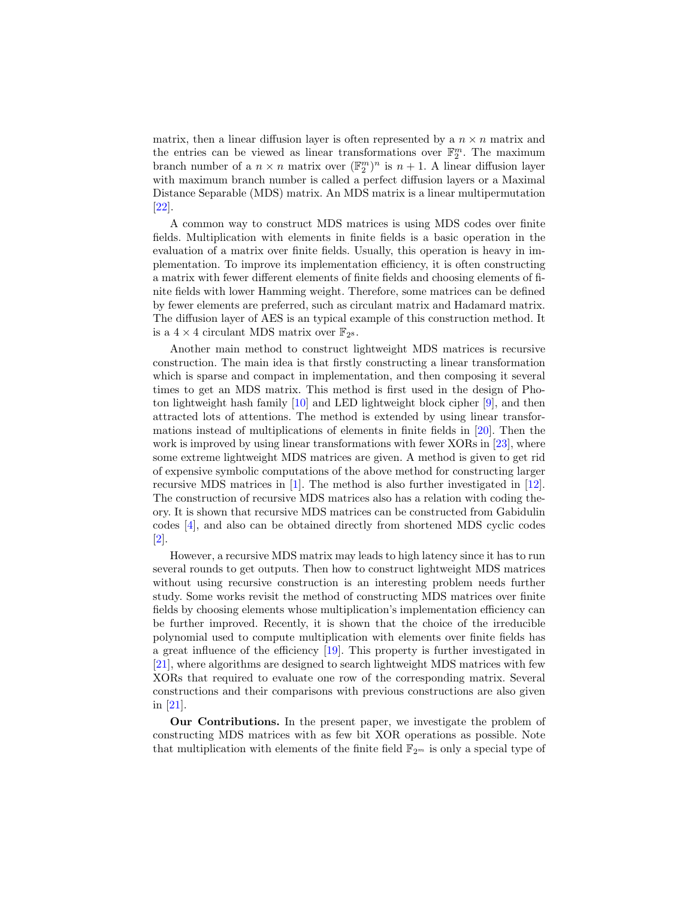matrix, then a linear diffusion layer is often represented by a  $n \times n$  matrix and the entries can be viewed as linear transformations over  $\mathbb{F}_2^m$ . The maximum branch number of a  $n \times n$  matrix over  $(\mathbb{F}_2^m)^n$  is  $n+1$ . A linear diffusion layer with maximum branch number is called a perfect diffusion layers or a Maximal Distance Separable (MDS) matrix. An MDS matrix is a linear multipermutation [\[22\]](#page-18-0).

A common way to construct MDS matrices is using MDS codes over finite fields. Multiplication with elements in finite fields is a basic operation in the evaluation of a matrix over finite fields. Usually, this operation is heavy in implementation. To improve its implementation efficiency, it is often constructing a matrix with fewer different elements of finite fields and choosing elements of finite fields with lower Hamming weight. Therefore, some matrices can be defined by fewer elements are preferred, such as circulant matrix and Hadamard matrix. The diffusion layer of AES is an typical example of this construction method. It is a  $4 \times 4$  circulant MDS matrix over  $\mathbb{F}_{2^8}$ .

Another main method to construct lightweight MDS matrices is recursive construction. The main idea is that firstly constructing a linear transformation which is sparse and compact in implementation, and then composing it several times to get an MDS matrix. This method is first used in the design of Photon lightweight hash family [\[10\]](#page-17-0) and LED lightweight block cipher [\[9\]](#page-17-1), and then attracted lots of attentions. The method is extended by using linear transformations instead of multiplications of elements in finite fields in [\[20\]](#page-18-1). Then the work is improved by using linear transformations with fewer XORs in [\[23\]](#page-18-2), where some extreme lightweight MDS matrices are given. A method is given to get rid of expensive symbolic computations of the above method for constructing larger recursive MDS matrices in [\[1\]](#page-17-2). The method is also further investigated in [\[12\]](#page-17-3). The construction of recursive MDS matrices also has a relation with coding theory. It is shown that recursive MDS matrices can be constructed from Gabidulin codes [\[4\]](#page-17-4), and also can be obtained directly from shortened MDS cyclic codes [\[2\]](#page-17-5).

However, a recursive MDS matrix may leads to high latency since it has to run several rounds to get outputs. Then how to construct lightweight MDS matrices without using recursive construction is an interesting problem needs further study. Some works revisit the method of constructing MDS matrices over finite fields by choosing elements whose multiplication's implementation efficiency can be further improved. Recently, it is shown that the choice of the irreducible polynomial used to compute multiplication with elements over finite fields has a great influence of the efficiency [\[19\]](#page-18-3). This property is further investigated in [\[21\]](#page-18-4), where algorithms are designed to search lightweight MDS matrices with few XORs that required to evaluate one row of the corresponding matrix. Several constructions and their comparisons with previous constructions are also given in [\[21\]](#page-18-4).

Our Contributions. In the present paper, we investigate the problem of constructing MDS matrices with as few bit XOR operations as possible. Note that multiplication with elements of the finite field  $\mathbb{F}_{2^m}$  is only a special type of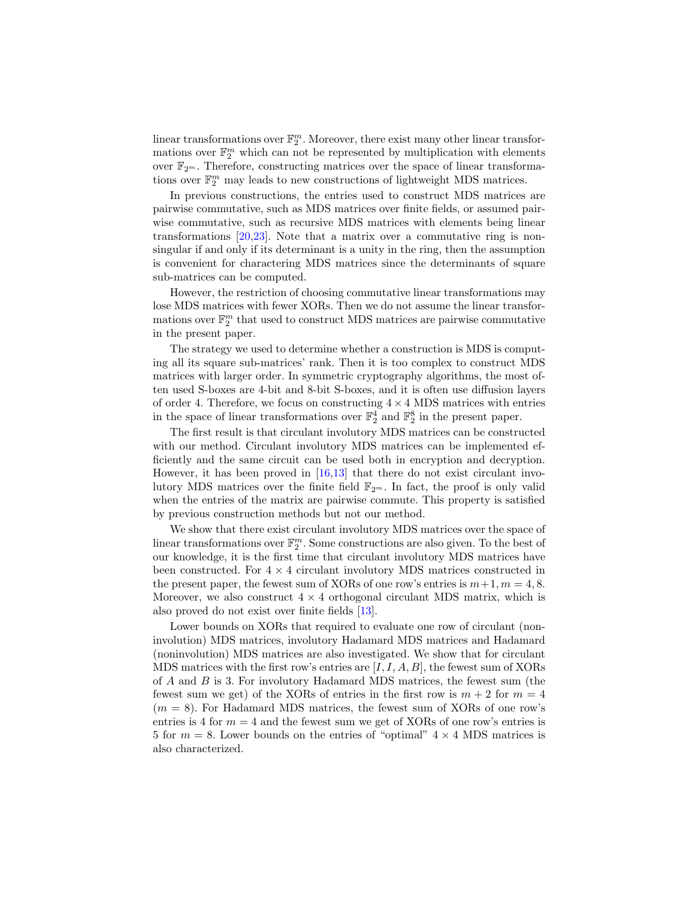linear transformations over  $\mathbb{F}_2^m$ . Moreover, there exist many other linear transformations over  $\mathbb{F}_2^m$  which can not be represented by multiplication with elements over  $\mathbb{F}_{2^m}$ . Therefore, constructing matrices over the space of linear transformations over  $\mathbb{F}_2^m$  may leads to new constructions of lightweight MDS matrices.

In previous constructions, the entries used to construct MDS matrices are pairwise commutative, such as MDS matrices over finite fields, or assumed pairwise commutative, such as recursive MDS matrices with elements being linear transformations  $[20,23]$  $[20,23]$ . Note that a matrix over a commutative ring is nonsingular if and only if its determinant is a unity in the ring, then the assumption is convenient for charactering MDS matrices since the determinants of square sub-matrices can be computed.

However, the restriction of choosing commutative linear transformations may lose MDS matrices with fewer XORs. Then we do not assume the linear transformations over  $\mathbb{F}_2^m$  that used to construct MDS matrices are pairwise commutative in the present paper.

The strategy we used to determine whether a construction is MDS is computing all its square sub-matrices' rank. Then it is too complex to construct MDS matrices with larger order. In symmetric cryptography algorithms, the most often used S-boxes are 4-bit and 8-bit S-boxes, and it is often use diffusion layers of order 4. Therefore, we focus on constructing  $4 \times 4$  MDS matrices with entries in the space of linear transformations over  $\mathbb{F}_2^4$  and  $\mathbb{F}_2^8$  in the present paper.

The first result is that circulant involutory MDS matrices can be constructed with our method. Circulant involutory MDS matrices can be implemented efficiently and the same circuit can be used both in encryption and decryption. However, it has been proved in  $[16,13]$  $[16,13]$  that there do not exist circulant involutory MDS matrices over the finite field  $\mathbb{F}_{2^m}$ . In fact, the proof is only valid when the entries of the matrix are pairwise commute. This property is satisfied by previous construction methods but not our method.

We show that there exist circulant involutory MDS matrices over the space of linear transformations over  $\mathbb{F}_2^m$ . Some constructions are also given. To the best of our knowledge, it is the first time that circulant involutory MDS matrices have been constructed. For  $4 \times 4$  circulant involutory MDS matrices constructed in the present paper, the fewest sum of XORs of one row's entries is  $m+1, m = 4, 8$ . Moreover, we also construct  $4 \times 4$  orthogonal circulant MDS matrix, which is also proved do not exist over finite fields [\[13\]](#page-17-7).

Lower bounds on XORs that required to evaluate one row of circulant (noninvolution) MDS matrices, involutory Hadamard MDS matrices and Hadamard (noninvolution) MDS matrices are also investigated. We show that for circulant MDS matrices with the first row's entries are  $[I, I, A, B]$ , the fewest sum of XORs of A and B is 3. For involutory Hadamard MDS matrices, the fewest sum (the fewest sum we get) of the XORs of entries in the first row is  $m + 2$  for  $m = 4$  $(m = 8)$ . For Hadamard MDS matrices, the fewest sum of XORs of one row's entries is 4 for  $m = 4$  and the fewest sum we get of XORs of one row's entries is 5 for  $m = 8$ . Lower bounds on the entries of "optimal"  $4 \times 4$  MDS matrices is also characterized.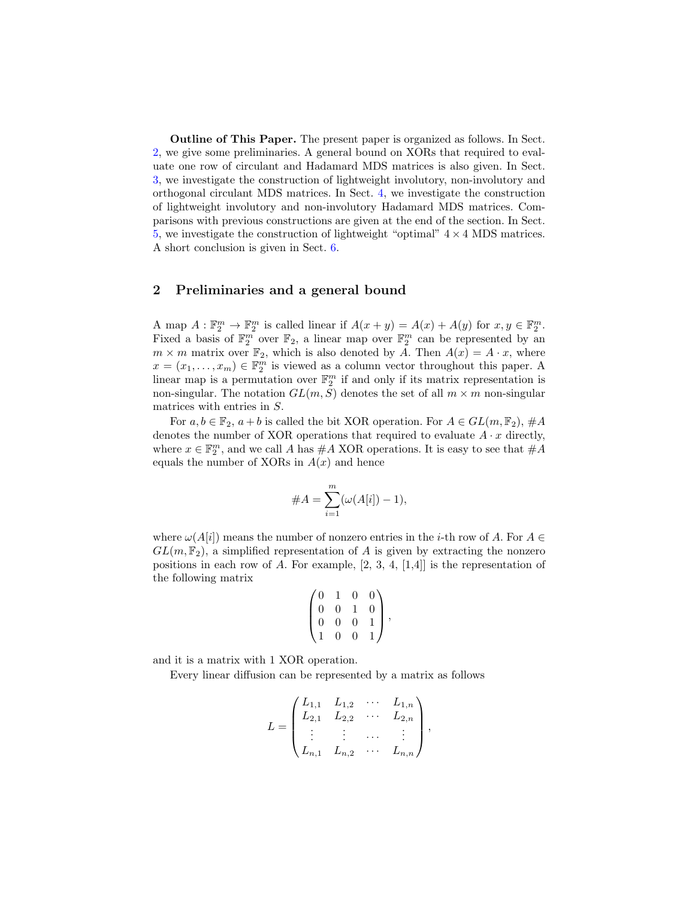Outline of This Paper. The present paper is organized as follows. In Sect. [2,](#page-3-0) we give some preliminaries. A general bound on XORs that required to evaluate one row of circulant and Hadamard MDS matrices is also given. In Sect. [3,](#page-6-0) we investigate the construction of lightweight involutory, non-involutory and orthogonal circulant MDS matrices. In Sect. [4,](#page-12-0) we investigate the construction of lightweight involutory and non-involutory Hadamard MDS matrices. Comparisons with previous constructions are given at the end of the section. In Sect. [5,](#page-15-0) we investigate the construction of lightweight "optimal"  $4 \times 4$  MDS matrices. A short conclusion is given in Sect. [6.](#page-16-0)

### <span id="page-3-0"></span>2 Preliminaries and a general bound

A map  $A: \mathbb{F}_2^m \to \mathbb{F}_2^m$  is called linear if  $A(x+y) = A(x) + A(y)$  for  $x, y \in \mathbb{F}_2^m$ . Fixed a basis of  $\mathbb{F}_2^m$  over  $\mathbb{F}_2$ , a linear map over  $\mathbb{F}_2^m$  can be represented by an  $m \times m$  matrix over  $\mathbb{F}_2$ , which is also denoted by A. Then  $A(x) = A \cdot x$ , where  $x = (x_1, \ldots, x_m) \in \mathbb{F}_2^m$  is viewed as a column vector throughout this paper. A linear map is a permutation over  $\mathbb{F}_2^m$  if and only if its matrix representation is non-singular. The notation  $GL(m, S)$  denotes the set of all  $m \times m$  non-singular matrices with entries in S.

For  $a, b \in \mathbb{F}_2$ ,  $a + b$  is called the bit XOR operation. For  $A \in GL(m, \mathbb{F}_2)$ ,  $\#A$ denotes the number of XOR operations that required to evaluate  $A \cdot x$  directly, where  $x \in \mathbb{F}_2^m$ , and we call A has  $\#A$  XOR operations. It is easy to see that  $\#A$ equals the number of XORs in  $A(x)$  and hence

#A = Xm i=1 (ω(A[i]) − 1),

where  $\omega(A[i])$  means the number of nonzero entries in the *i*-th row of A. For  $A \in$  $GL(m, \mathbb{F}_2)$ , a simplified representation of A is given by extracting the nonzero positions in each row of A. For example,  $[2, 3, 4, 1, 4]$  is the representation of the following matrix

$$
\begin{pmatrix} 0 & 1 & 0 & 0 \\ 0 & 0 & 1 & 0 \\ 0 & 0 & 0 & 1 \\ 1 & 0 & 0 & 1 \end{pmatrix},
$$

and it is a matrix with 1 XOR operation.

Every linear diffusion can be represented by a matrix as follows

$$
L = \begin{pmatrix} L_{1,1} & L_{1,2} & \cdots & L_{1,n} \\ L_{2,1} & L_{2,2} & \cdots & L_{2,n} \\ \vdots & \vdots & \cdots & \vdots \\ L_{n,1} & L_{n,2} & \cdots & L_{n,n} \end{pmatrix},
$$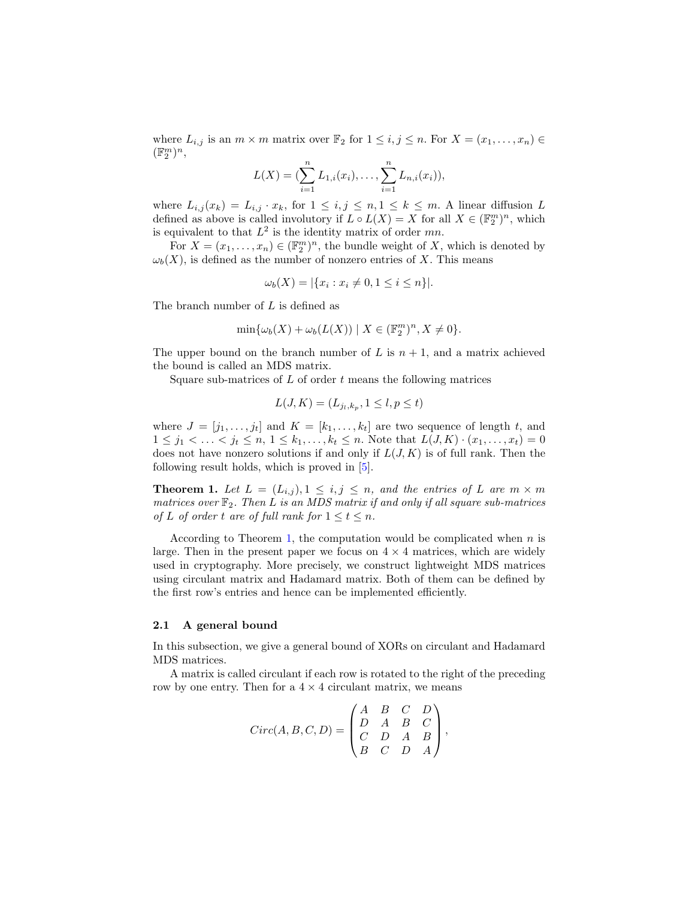where  $L_{i,j}$  is an  $m \times m$  matrix over  $\mathbb{F}_2$  for  $1 \leq i, j \leq n$ . For  $X = (x_1, \ldots, x_n) \in$  $(\mathbb{F}_2^m)^n$ ,

$$
L(X) = (\sum_{i=1}^{n} L_{1,i}(x_i), \ldots, \sum_{i=1}^{n} L_{n,i}(x_i)),
$$

where  $L_{i,j}(x_k) = L_{i,j} \cdot x_k$ , for  $1 \leq i, j \leq n, 1 \leq k \leq m$ . A linear diffusion L defined as above is called involutory if  $L \circ L(X) = X$  for all  $X \in (\mathbb{F}_2^m)^n$ , which is equivalent to that  $L^2$  is the identity matrix of order mn.

For  $X = (x_1, \ldots, x_n) \in (\mathbb{F}_2^m)^n$ , the bundle weight of X, which is denoted by  $\omega_b(X)$ , is defined as the number of nonzero entries of X. This means

$$
\omega_b(X) = |\{x_i : x_i \neq 0, 1 \le i \le n\}|.
$$

The branch number of L is defined as

$$
\min\{\omega_b(X)+\omega_b(L(X))\mid X\in(\mathbb{F}_2^m)^n, X\neq 0\}.
$$

The upper bound on the branch number of L is  $n + 1$ , and a matrix achieved the bound is called an MDS matrix.

Square sub-matrices of  $L$  of order  $t$  means the following matrices

$$
L(J, K) = (L_{j_l, k_p}, 1 \le l, p \le t)
$$

where  $J = [j_1, \ldots, j_t]$  and  $K = [k_1, \ldots, k_t]$  are two sequence of length t, and  $1 \leq j_1 < \ldots < j_t \leq n, \ 1 \leq k_1, \ldots, k_t \leq n.$  Note that  $L(J, K) \cdot (x_1, \ldots, x_t) = 0$ does not have nonzero solutions if and only if  $L(J, K)$  is of full rank. Then the following result holds, which is proved in [\[5\]](#page-17-8).

<span id="page-4-0"></span>**Theorem 1.** Let  $L = (L_{i,j}), 1 \leq i, j \leq n$ , and the entries of L are  $m \times m$ matrices over  $\mathbb{F}_2$ . Then L is an MDS matrix if and only if all square sub-matrices of L of order t are of full rank for  $1 \le t \le n$ .

According to Theorem [1,](#page-4-0) the computation would be complicated when  $n$  is large. Then in the present paper we focus on  $4 \times 4$  matrices, which are widely used in cryptography. More precisely, we construct lightweight MDS matrices using circulant matrix and Hadamard matrix. Both of them can be defined by the first row's entries and hence can be implemented efficiently.

#### 2.1 A general bound

In this subsection, we give a general bound of XORs on circulant and Hadamard MDS matrices.

A matrix is called circulant if each row is rotated to the right of the preceding row by one entry. Then for a  $4 \times 4$  circulant matrix, we means

$$
Circ(A, B, C, D) = \begin{pmatrix} A & B & C & D \\ D & A & B & C \\ C & D & A & B \\ B & C & D & A \end{pmatrix},
$$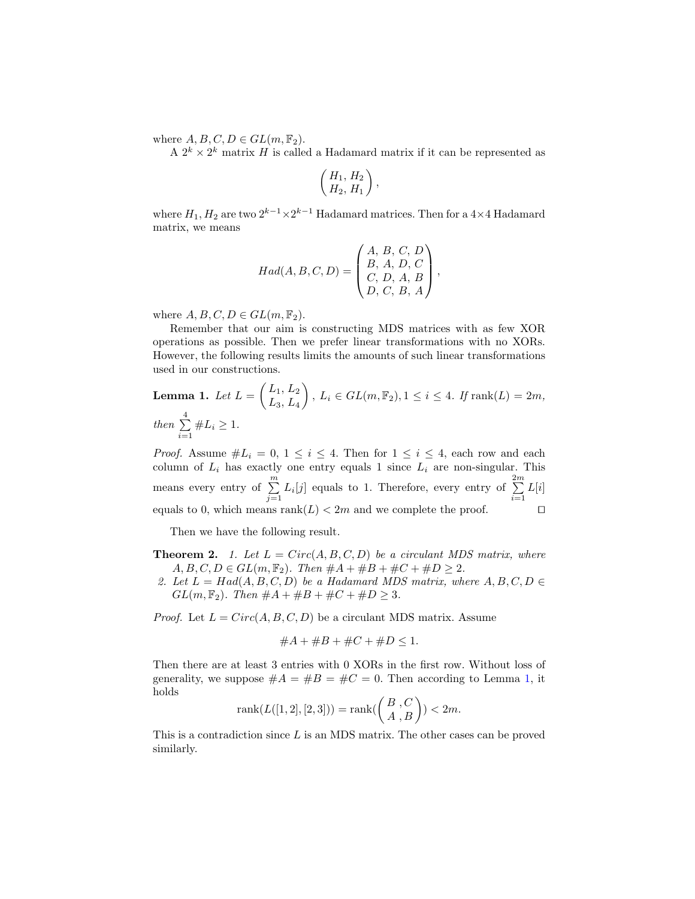where  $A, B, C, D \in GL(m, \mathbb{F}_2)$ .

A  $2^k \times 2^k$  matrix H is called a Hadamard matrix if it can be represented as

$$
\left(\begin{matrix}H_1,H_2\\H_2,H_1\end{matrix}\right),\,
$$

where  $H_1, H_2$  are two  $2^{k-1} \times 2^{k-1}$  Hadamard matrices. Then for a 4×4 Hadamard matrix, we means

$$
Had(A, B, C, D) = \begin{pmatrix} A, B, C, D \\ B, A, D, C \\ C, D, A, B \\ D, C, B, A \end{pmatrix},
$$

where  $A, B, C, D \in GL(m, \mathbb{F}_2)$ .

Remember that our aim is constructing MDS matrices with as few XOR operations as possible. Then we prefer linear transformations with no XORs. However, the following results limits the amounts of such linear transformations used in our constructions.

<span id="page-5-0"></span>**Lemma 1.** Let 
$$
L = \begin{pmatrix} L_1, L_2 \\ L_3, L_4 \end{pmatrix}
$$
,  $L_i \in GL(m, \mathbb{F}_2), 1 \le i \le 4$ . If rank $(L) = 2m$ ,  
then  $\sum_{i=1}^4 #L_i \ge 1$ .

*Proof.* Assume  $#L_i = 0, 1 \leq i \leq 4$ . Then for  $1 \leq i \leq 4$ , each row and each column of  $L_i$  has exactly one entry equals 1 since  $L_i$  are non-singular. This means every entry of  $\sum_{n=1}^{\infty}$  $\sum_{j=1}^{m} L_i[j]$  equals to 1. Therefore, every entry of  $\sum_{i=1}^{2m}$  $i=1$  $L[i]$ equals to 0, which means  $rank(L) < 2m$  and we complete the proof.

Then we have the following result.

- **Theorem 2.** 1. Let  $L = Circ(A, B, C, D)$  be a circulant MDS matrix, where  $A, B, C, D \in GL(m, \mathbb{F}_2)$ . Then  $\#A + \#B + \#C + \#D \geq 2$ .
- 2. Let  $L = Had(A, B, C, D)$  be a Hadamard MDS matrix, where  $A, B, C, D \in$ GL(m,  $\mathbb{F}_2$ ). Then  $\#A + \#B + \#C + \#D \geq 3$ .

*Proof.* Let  $L = Circ(A, B, C, D)$  be a circulant MDS matrix. Assume

$$
\#A + \#B + \#C + \#D \le 1.
$$

Then there are at least 3 entries with 0 XORs in the first row. Without loss of generality, we suppose  $#A = #B = #C = 0$ . Then according to Lemma [1,](#page-5-0) it holds

rank
$$
(L([1,2],[2,3]))
$$
 = rank $(\begin{pmatrix} B, C \\ A, B \end{pmatrix})$  < 2m.

This is a contradiction since L is an MDS matrix. The other cases can be proved similarly.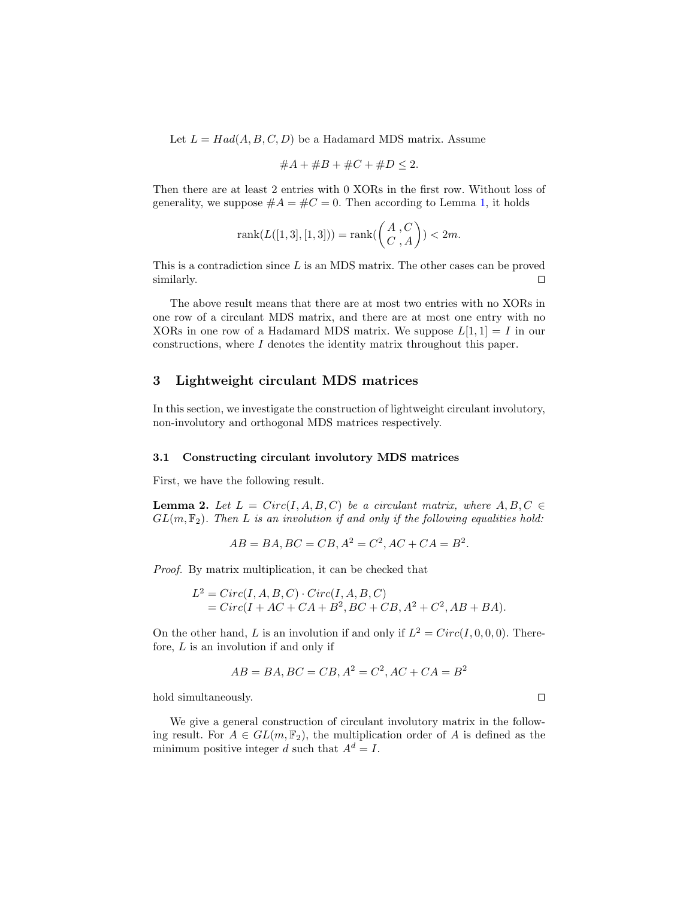Let  $L = Had(A, B, C, D)$  be a Hadamard MDS matrix. Assume

$$
\#A + \#B + \#C + \#D \le 2.
$$

Then there are at least 2 entries with 0 XORs in the first row. Without loss of generality, we suppose  $#A = #C = 0$ . Then according to Lemma [1,](#page-5-0) it holds

rank
$$
(L([1,3],[1,3]))
$$
 = rank $(\begin{pmatrix} A, C \\ C, A \end{pmatrix})$  < 2m.

This is a contradiction since L is an MDS matrix. The other cases can be proved  $\Box$  similarly.

The above result means that there are at most two entries with no XORs in one row of a circulant MDS matrix, and there are at most one entry with no XORs in one row of a Hadamard MDS matrix. We suppose  $L[1, 1] = I$  in our constructions, where I denotes the identity matrix throughout this paper.

### <span id="page-6-0"></span>3 Lightweight circulant MDS matrices

In this section, we investigate the construction of lightweight circulant involutory, non-involutory and orthogonal MDS matrices respectively.

#### <span id="page-6-2"></span>3.1 Constructing circulant involutory MDS matrices

<span id="page-6-1"></span>First, we have the following result.

**Lemma 2.** Let  $L = Circ(I, A, B, C)$  be a circulant matrix, where  $A, B, C \in$  $GL(m, \mathbb{F}_2)$ . Then L is an involution if and only if the following equalities hold:

$$
AB = BA, BC = CB, A^2 = C^2, AC + CA = B^2.
$$

Proof. By matrix multiplication, it can be checked that

$$
L2 = Circ(I, A, B, C) \cdot Circ(I, A, B, C)
$$
  
= Circ(I + AC + CA + B<sup>2</sup>, BC + CB, A<sup>2</sup> + C<sup>2</sup>, AB + BA).

On the other hand, L is an involution if and only if  $L^2 = Circ(I, 0, 0, 0)$ . Therefore, L is an involution if and only if

$$
AB = BA, BC = CB, A^2 = C^2, AC + CA = B^2
$$

 $\Box$  hold simultaneously.  $\Box$ 

We give a general construction of circulant involutory matrix in the following result. For  $A \in GL(m, \mathbb{F}_2)$ , the multiplication order of A is defined as the minimum positive integer d such that  $A^d = I$ .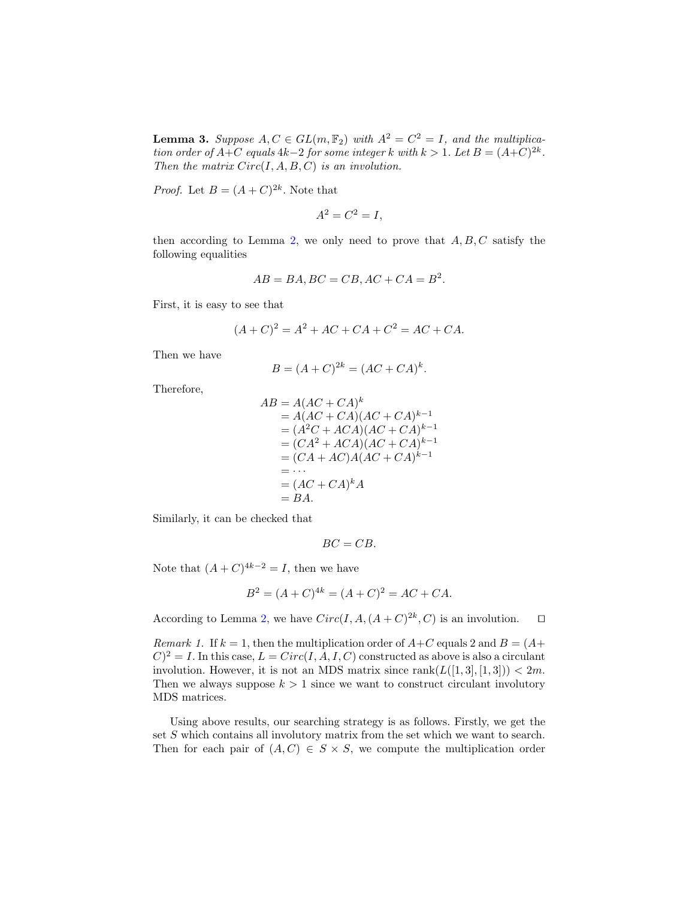**Lemma 3.** Suppose  $A, C \in GL(m, \mathbb{F}_2)$  with  $A^2 = C^2 = I$ , and the multiplication order of  $A+C$  equals  $4k-2$  for some integer k with  $k > 1$ . Let  $B = (A+C)^{2k}$ . Then the matrix  $Circ(I, A, B, C)$  is an involution.

*Proof.* Let  $B = (A+C)^{2k}$ . Note that

$$
A^2 = C^2 = I,
$$

then according to Lemma [2,](#page-6-1) we only need to prove that  $A, B, C$  satisfy the following equalities

$$
AB = BA, BC = CB, AC + CA = B^2.
$$

First, it is easy to see that

$$
(A+C)^2 = A^2 + AC + CA + C^2 = AC + CA.
$$

Then we have

$$
B = (A + C)^{2k} = (AC + CA)^k.
$$

Therefore,

$$
AB = A(AC + CA)^{k}
$$
  
=  $A(AC + CA)(AC + CA)^{k-1}$   
=  $(A^2C + ACA)(AC + CA)^{k-1}$   
=  $(CA^2 + ACA)(AC + CA)^{k-1}$   
=  $(CA + AC)A(AC + CA)^{k-1}$   
= ...  
=  $(AC + CA)^{k}A$   
= BA.

Similarly, it can be checked that

$$
BC = CB.
$$

Note that  $(A+C)^{4k-2} = I$ , then we have

$$
B^2 = (A + C)^{4k} = (A + C)^2 = AC + CA.
$$

According to Lemma [2,](#page-6-1) we have  $Circ(I, A, (A+C)^{2k}, C)$  is an involution.  $\square$ 

Remark 1. If  $k = 1$ , then the multiplication order of  $A+C$  equals 2 and  $B = (A +$  $(C)^2 = I$ . In this case,  $L = Circ(I, A, I, C)$  constructed as above is also a circulant involution. However, it is not an MDS matrix since rank $(L([1,3],[1,3])) < 2m$ . Then we always suppose  $k > 1$  since we want to construct circulant involutory MDS matrices.

Using above results, our searching strategy is as follows. Firstly, we get the set S which contains all involutory matrix from the set which we want to search. Then for each pair of  $(A, C) \in S \times S$ , we compute the multiplication order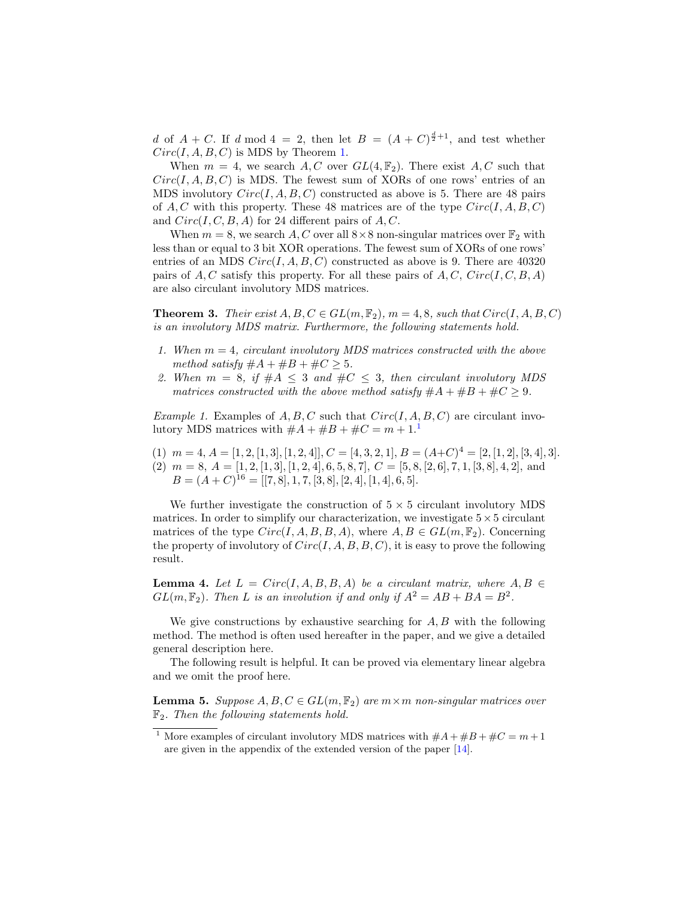d of  $A + C$ . If d mod  $4 = 2$ , then let  $B = (A + C)^{\frac{d}{2}+1}$ , and test whether  $Circ(I, A, B, C)$  is MDS by Theorem [1.](#page-4-0)

When  $m = 4$ , we search A, C over  $GL(4, \mathbb{F}_2)$ . There exist A, C such that  $Circ(I, A, B, C)$  is MDS. The fewest sum of XORs of one rows' entries of an MDS involutory  $Circ(I, A, B, C)$  constructed as above is 5. There are 48 pairs of A, C with this property. These 48 matrices are of the type  $Circ(I, A, B, C)$ and  $Circ(I, C, B, A)$  for 24 different pairs of A, C.

When  $m = 8$ , we search A, C over all  $8 \times 8$  non-singular matrices over  $\mathbb{F}_2$  with less than or equal to 3 bit XOR operations. The fewest sum of XORs of one rows' entries of an MDS  $Circ(I, A, B, C)$  constructed as above is 9. There are 40320 pairs of A, C satisfy this property. For all these pairs of  $A, C, Circ(I, C, B, A)$ are also circulant involutory MDS matrices.

**Theorem 3.** Their exist  $A, B, C \in GL(m, \mathbb{F}_2)$ ,  $m = 4, 8$ , such that  $Circ(I, A, B, C)$ is an involutory MDS matrix. Furthermore, the following statements hold.

- 1. When  $m = 4$ , circulant involutory MDS matrices constructed with the above method satisfy  $#A + #B + #C \geq 5$ .
- 2. When  $m = 8$ , if  $\#A \leq 3$  and  $\#C \leq 3$ , then circulant involutory MDS matrices constructed with the above method satisfy  $\#A + \#B + \#C \geq 9$ .

Example 1. Examples of  $A, B, C$  such that  $Circ(I, A, B, C)$  are circulant involutory MDS matrices with  $\#A + \#B + \#C = m + 1$  $\#A + \#B + \#C = m + 1$ <sup>1</sup>

(1)  $m = 4, A = [1, 2, [1, 3], [1, 2, 4]], C = [4, 3, 2, 1], B = (A+C)^4 = [2, [1, 2], [3, 4], 3].$  $(2)$   $m = 8$ ,  $A = \begin{bmatrix} 1 & 2 & 1 \\ 3 & 1 & 2 \\ 4 & 6 & 5 \\ 8 & 7 \end{bmatrix}$ ,  $C = \begin{bmatrix} 5 & 8 & 1 \\ 2 & 6 & 1 \\ 7 & 1 & 1 \\ 8 & 8 & 4 \\ 9 & 1 & 1 \end{bmatrix}$ , and  $B = (A+C)^{16} = [[7,8],1,7,[3,8],[2,4],[1,4],6,5].$ 

We further investigate the construction of  $5 \times 5$  circulant involutory MDS matrices. In order to simplify our characterization, we investigate  $5 \times 5$  circulant matrices of the type  $Circ(I, A, B, B, A)$ , where  $A, B \in GL(m, \mathbb{F}_2)$ . Concerning the property of involutory of  $Circ(I, A, B, B, C)$ , it is easy to prove the following result.

**Lemma 4.** Let  $L = Circ(I, A, B, B, A)$  be a circulant matrix, where  $A, B \in$  $GL(m, \mathbb{F}_2)$ . Then L is an involution if and only if  $A^2 = AB + BA = B^2$ .

We give constructions by exhaustive searching for  $A, B$  with the following method. The method is often used hereafter in the paper, and we give a detailed general description here.

The following result is helpful. It can be proved via elementary linear algebra and we omit the proof here.

<span id="page-8-1"></span>**Lemma 5.** Suppose  $A, B, C \in GL(m, \mathbb{F}_2)$  are  $m \times m$  non-singular matrices over  $\mathbb{F}_2$ . Then the following statements hold.

<span id="page-8-0"></span><sup>&</sup>lt;sup>1</sup> More examples of circulant involutory MDS matrices with  $#A + #B + #C = m + 1$ are given in the appendix of the extended version of the paper [\[14\]](#page-17-9).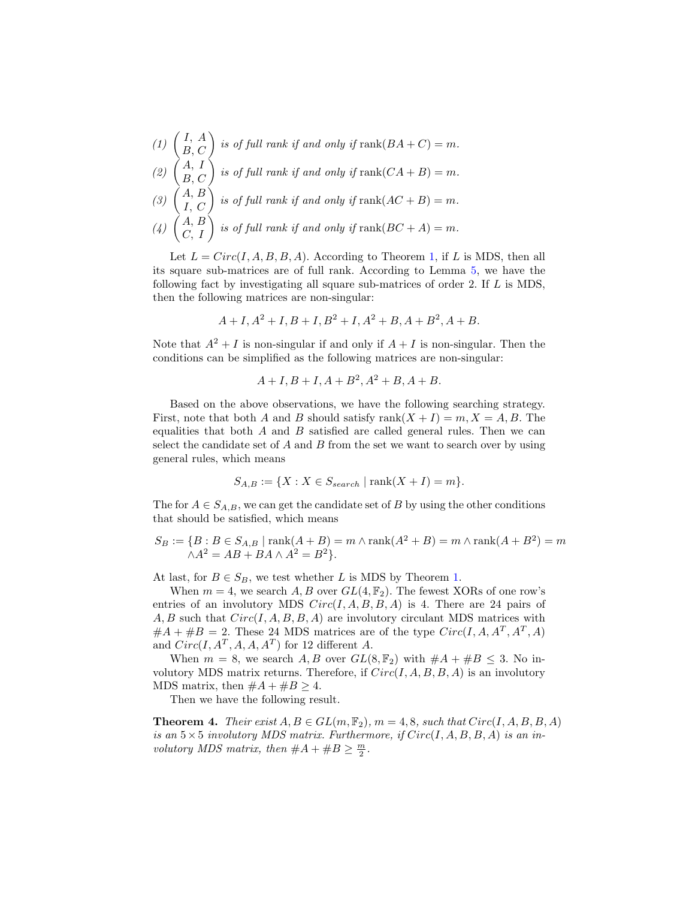(1)  $\binom{I, A}{B, C}$  is of full rank if and only if  $\text{rank}(BA + C) = m$ . (2)  $\binom{A, I}{B, C}$  is of full rank if and only if  $\text{rank}(CA + B) = m$ . (3)  $\binom{A, B}{I, C}$  is of full rank if and only if  $\text{rank}(AC + B) = m$ . (4)  $\begin{pmatrix} A, B \\ C, I \end{pmatrix}$  is of full rank if and only if  $\text{rank}(BC + A) = m$ .

Let  $L = Circ(I, A, B, B, A)$ . According to Theorem [1,](#page-4-0) if L is MDS, then all its square sub-matrices are of full rank. According to Lemma [5,](#page-8-1) we have the following fact by investigating all square sub-matrices of order 2. If L is MDS, then the following matrices are non-singular:

$$
A+I, A^2+I, B+I, B^2+I, A^2+B, A+B^2, A+B.
$$

Note that  $A^2 + I$  is non-singular if and only if  $A + I$  is non-singular. Then the conditions can be simplified as the following matrices are non-singular:

$$
A + I, B + I, A + B^2, A^2 + B, A + B.
$$

Based on the above observations, we have the following searching strategy. First, note that both A and B should satisfy  $rank(X + I) = m, X = A, B$ . The equalities that both  $A$  and  $B$  satisfied are called general rules. Then we can select the candidate set of  $A$  and  $B$  from the set we want to search over by using general rules, which means

$$
S_{A,B} := \{ X : X \in S_{search} \mid \text{rank}(X + I) = m \}.
$$

The for  $A \in S_{A,B}$ , we can get the candidate set of B by using the other conditions that should be satisfied, which means

$$
S_B := \{ B : B \in S_{A,B} \mid \text{rank}(A+B) = m \land \text{rank}(A^2+B) = m \land \text{rank}(A+B^2) = m
$$
  

$$
\land A^2 = AB + BA \land A^2 = B^2 \}.
$$

At last, for  $B \in S_B$ , we test whether L is MDS by Theorem [1.](#page-4-0)

When  $m = 4$ , we search A, B over  $GL(4, \mathbb{F}_2)$ . The fewest XORs of one row's entries of an involutory MDS  $Circ(I, A, B, B, A)$  is 4. There are 24 pairs of  $A, B$  such that  $Circ(I, A, B, B, A)$  are involutory circulant MDS matrices with  $#A + #B = 2$ . These 24 MDS matrices are of the type  $Circ(I, A, A^T, A^T, A)$ and  $Circ(I, A^T, A, A, A^T)$  for 12 different A.

When  $m = 8$ , we search A, B over  $GL(8, \mathbb{F}_2)$  with  $\#A + \#B \leq 3$ . No involutory MDS matrix returns. Therefore, if  $Circ(I, A, B, B, A)$  is an involutory MDS matrix, then  $\#A + \#B > 4$ .

Then we have the following result.

**Theorem 4.** Their exist  $A, B \in GL(m, \mathbb{F}_2)$ ,  $m = 4, 8$ , such that  $Circ(I, A, B, B, A)$ is an  $5\times 5$  involutory MDS matrix. Furthermore, if  $Circ(I, A, B, B, A)$  is an involutory MDS matrix, then  $#A + #B \geq \frac{m}{2}$ .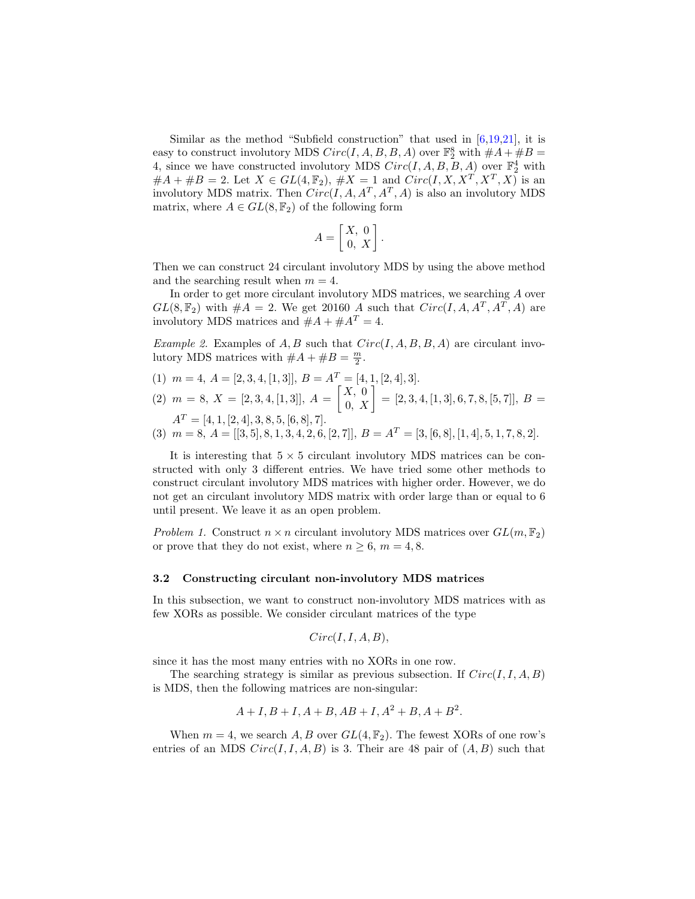Similar as the method "Subfield construction" that used in  $[6,19,21]$  $[6,19,21]$  $[6,19,21]$ , it is easy to construct involutory MDS  $Circ(I, A, B, B, A)$  over  $\mathbb{F}_2^8$  with  $\#A + \#B =$ 4, since we have constructed involutory MDS  $Circ(I, A, B, B, A)$  over  $\mathbb{F}_2^4$  with  $#A + #B = 2.$  Let  $X \in GL(4, \mathbb{F}_2), #X = 1$  and  $Circ(I, X, X^T, X^T, X)$  is an involutory MDS matrix. Then  $Circ(I, A, A<sup>T</sup>, A<sup>T</sup>, A)$  is also an involutory MDS matrix, where  $A \in GL(8, \mathbb{F}_2)$  of the following form

$$
A = \begin{bmatrix} X, & 0 \\ 0, & X \end{bmatrix}.
$$

Then we can construct 24 circulant involutory MDS by using the above method and the searching result when  $m = 4$ .

In order to get more circulant involutory MDS matrices, we searching A over  $GL(8,\mathbb{F}_2)$  with  $\#A=2$ . We get 20160 A such that  $Circ(I, A, A^T, A^T, A)$  are involutory MDS matrices and  $\#A + \#A^T = 4$ .

Example 2. Examples of  $A, B$  such that  $Circ(I, A, B, B, A)$  are circulant involutory MDS matrices with  $#A + #B = \frac{m}{2}$ . 2

- (1)  $m = 4$ ,  $A = [2, 3, 4, [1, 3]]$ ,  $B = A<sup>T</sup> = [4, 1, [2, 4], 3]$ .
- $(2) \ \ m=8, \ X=[2,3,4,[1,3]], \ A=\begin{bmatrix} X,\ 0\ 0,\ X \end{bmatrix}=[2,3,4,[1,3],6,7,8,[5,7]], \ B=0,1,2$  $A<sup>T</sup> = [4, 1, [2, 4], 3, 8, 5, [6, 8], 7].$
- (3)  $m = 8, A = [[3, 5], 8, 1, 3, 4, 2, 6, [2, 7]], B = A<sup>T</sup> = [3, [6, 8], [1, 4], 5, 1, 7, 8, 2].$

It is interesting that  $5 \times 5$  circulant involutory MDS matrices can be constructed with only 3 different entries. We have tried some other methods to construct circulant involutory MDS matrices with higher order. However, we do not get an circulant involutory MDS matrix with order large than or equal to 6 until present. We leave it as an open problem.

Problem 1. Construct  $n \times n$  circulant involutory MDS matrices over  $GL(m, \mathbb{F}_2)$ or prove that they do not exist, where  $n \geq 6$ ,  $m = 4, 8$ .

#### <span id="page-10-0"></span>3.2 Constructing circulant non-involutory MDS matrices

In this subsection, we want to construct non-involutory MDS matrices with as few XORs as possible. We consider circulant matrices of the type

$$
Circ(I, I, A, B),
$$

since it has the most many entries with no XORs in one row.

The searching strategy is similar as previous subsection. If  $Circ(I, I, A, B)$ is MDS, then the following matrices are non-singular:

$$
A+I, B+I, A+B, AB+I, A^2+B, A+B^2.
$$

When  $m = 4$ , we search A, B over  $GL(4, \mathbb{F}_2)$ . The fewest XORs of one row's entries of an MDS  $Circ(I, I, A, B)$  is 3. Their are 48 pair of  $(A, B)$  such that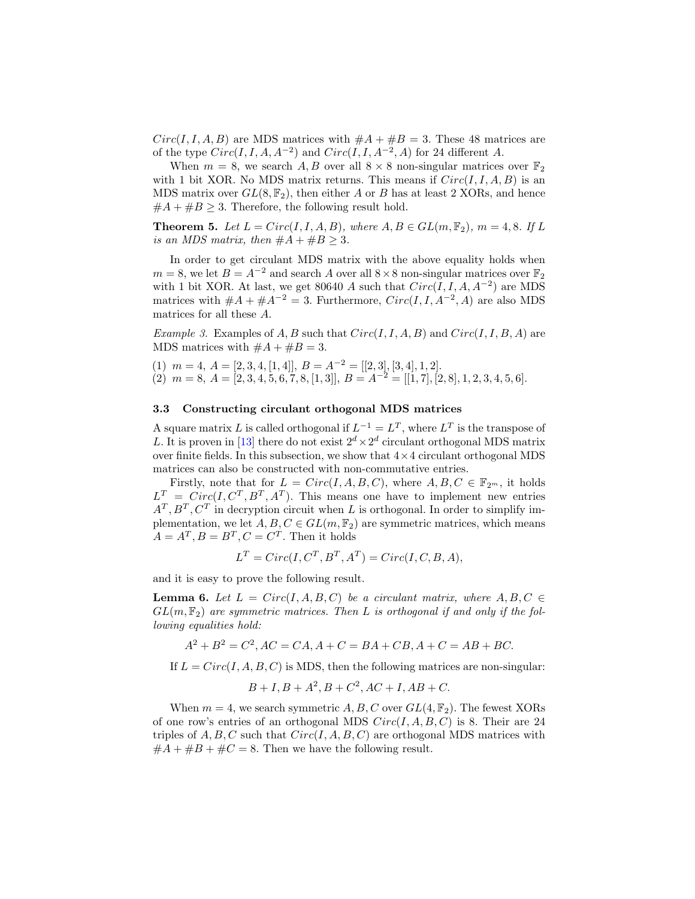$Circ(I, I, A, B)$  are MDS matrices with  $#A + #B = 3$ . These 48 matrices are of the type  $Circ(I, I, A, A^{-2})$  and  $Circ(I, I, A^{-2}, A)$  for 24 different A.

When  $m = 8$ , we search A, B over all  $8 \times 8$  non-singular matrices over  $\mathbb{F}_2$ with 1 bit XOR. No MDS matrix returns. This means if  $Circ(I, I, A, B)$  is an MDS matrix over  $GL(8, \mathbb{F}_2)$ , then either A or B has at least 2 XORs, and hence  $#A + #B \geq 3$ . Therefore, the following result hold.

**Theorem 5.** Let  $L = Circ(I, I, A, B)$ , where  $A, B \in GL(m, \mathbb{F}_2)$ ,  $m = 4, 8$ . If L is an MDS matrix, then  $\#A + \#B \geq 3$ .

In order to get circulant MDS matrix with the above equality holds when  $m = 8$ , we let  $B = A^{-2}$  and search A over all  $8 \times 8$  non-singular matrices over  $\mathbb{F}_2$ with 1 bit XOR. At last, we get 80640 A such that  $Circ(I, I, A, A^{-2})$  are MDS matrices with  $#A + #A^{-2} = 3$ . Furthermore,  $Circ(I, I, A^{-2}, A)$  are also MDS matrices for all these A.

*Example 3.* Examples of A, B such that  $Circ(I, I, A, B)$  and  $Circ(I, I, B, A)$  are MDS matrices with  $\#A + \#B = 3$ .

(1)  $m = 4$ ,  $A = [2, 3, 4, [1, 4]]$ ,  $B = A^{-2} = [[2, 3], [3, 4], 1, 2]$ .  $(2)$   $m = 8, A = [2, 3, 4, 5, 6, 7, 8, 1, 3], B = A^{-2} = [[1, 7], [2, 8], 1, 2, 3, 4, 5, 6].$ 

### 3.3 Constructing circulant orthogonal MDS matrices

A square matrix L is called orthogonal if  $L^{-1} = L^T$ , where  $L^T$  is the transpose of L. It is proven in [\[13\]](#page-17-7) there do not exist  $2^d \times 2^d$  circulant orthogonal MDS matrix over finite fields. In this subsection, we show that  $4 \times 4$  circulant orthogonal MDS matrices can also be constructed with non-commutative entries.

Firstly, note that for  $L = Circ(I, A, B, C)$ , where  $A, B, C \in \mathbb{F}_{2^m}$ , it holds  $L^T = Circ(I, C^T, B^T, A^T)$ . This means one have to implement new entries  $A<sup>T</sup>, B<sup>T</sup>, C<sup>T</sup>$  in decryption circuit when L is orthogonal. In order to simplify implementation, we let  $A, B, C \in GL(m, \mathbb{F}_2)$  are symmetric matrices, which means  $A = A^T, B = B^T, C = C^T$ . Then it holds

$$
L^T = Circ(I, C^T, B^T, A^T) = Circ(I, C, B, A),
$$

and it is easy to prove the following result.

**Lemma 6.** Let  $L = Circ(I, A, B, C)$  be a circulant matrix, where  $A, B, C \in$  $GL(m,\mathbb{F}_2)$  are symmetric matrices. Then L is orthogonal if and only if the following equalities hold:

 $A^2 + B^2 = C^2$ ,  $AC = CA$ ,  $A + C = BA + CB$ ,  $A + C = AB + BC$ .

If  $L = Circ(I, A, B, C)$  is MDS, then the following matrices are non-singular:

$$
B + I
$$
,  $B + A^2$ ,  $B + C^2$ ,  $AC + I$ ,  $AB + C$ .

When  $m = 4$ , we search symmetric A, B, C over  $GL(4, \mathbb{F}_2)$ . The fewest XORs of one row's entries of an orthogonal MDS  $Circ(I, A, B, C)$  is 8. Their are 24 triples of  $A, B, C$  such that  $Circ(I, A, B, C)$  are orthogonal MDS matrices with  $#A + #B + #C = 8$ . Then we have the following result.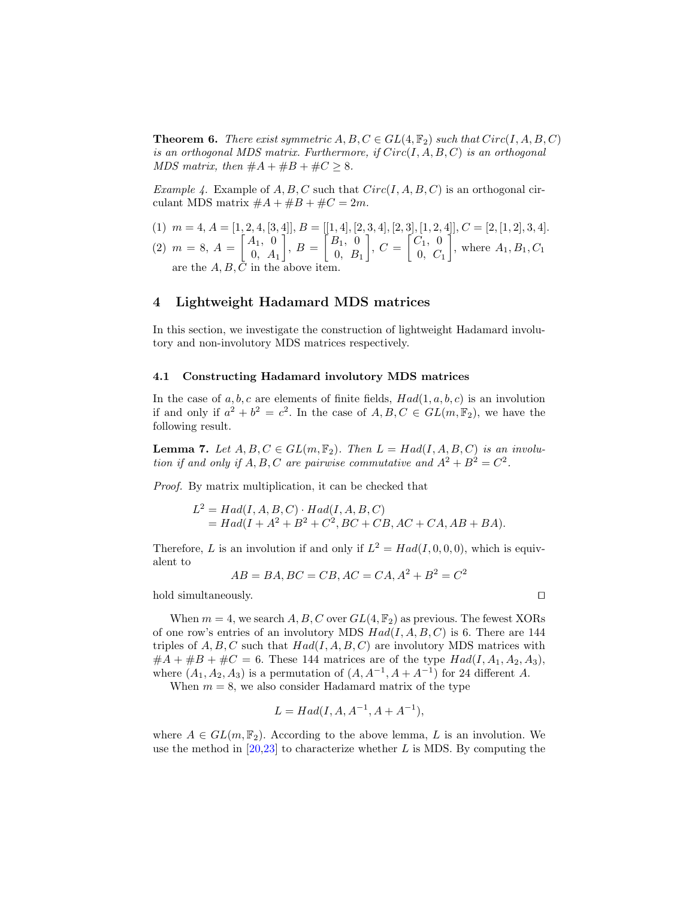**Theorem 6.** There exist symmetric  $A, B, C \in GL(4, \mathbb{F}_2)$  such that  $Circ(I, A, B, C)$ is an orthogonal MDS matrix. Furthermore, if  $Circ(I, A, B, C)$  is an orthogonal MDS matrix, then  $\#A + \#B + \#C \geq 8$ .

Example 4. Example of A, B, C such that  $Circ(I, A, B, C)$  is an orthogonal circulant MDS matrix  $#A + #B + #C = 2m$ .

- $(1)$   $m = 4, A = [1, 2, 4, [3, 4], B = [[1, 4], [2, 3, 4], [2, 3], [1, 2, 4]], C = [2, [1, 2], 3, 4].$
- (2)  $m = 8, A = \begin{bmatrix} A_1, & 0 \\ 0 & A \end{bmatrix}$  $0, A_1$  $\Big\}, B = \Big\lceil \frac{B_1, 0}{0, B} \Big\rceil$  $0, B_1$  $\Big\}, C = \Big\lceil \frac{C_1, 0}{2}, \frac{C_2}{C_1} \Big\rceil$  $0, C_1$ , where  $A_1, B_1, C_1$ are the  $A, B, \bar{C}$  in the above item.

# <span id="page-12-0"></span>4 Lightweight Hadamard MDS matrices

In this section, we investigate the construction of lightweight Hadamard involutory and non-involutory MDS matrices respectively.

#### <span id="page-12-1"></span>4.1 Constructing Hadamard involutory MDS matrices

In the case of  $a, b, c$  are elements of finite fields,  $Had(1, a, b, c)$  is an involution if and only if  $a^2 + b^2 = c^2$ . In the case of  $A, B, C \in GL(m, \mathbb{F}_2)$ , we have the following result.

**Lemma 7.** Let  $A, B, C \in GL(m, \mathbb{F}_2)$ . Then  $L = Had(I, A, B, C)$  is an involution if and only if A, B, C are pairwise commutative and  $A^2 + B^2 = C^2$ .

Proof. By matrix multiplication, it can be checked that

$$
L2 = Had(I, A, B, C) \cdot Had(I, A, B, C)
$$
  
= Had(I + A<sup>2</sup> + B<sup>2</sup> + C<sup>2</sup>, BC + CB, AC + CA, AB + BA).

Therefore, L is an involution if and only if  $L^2 = Had(I, 0, 0, 0)$ , which is equivalent to

$$
AB = BA, BC = CB, AC = CA, A2 + B2 = C2
$$

 $\Box$ hold simultaneously.  $\Box$ 

When  $m = 4$ , we search A, B, C over  $GL(4, \mathbb{F}_2)$  as previous. The fewest XORs of one row's entries of an involutory MDS  $Had(I, A, B, C)$  is 6. There are 144 triples of  $A, B, C$  such that  $Had(I, A, B, C)$  are involutory MDS matrices with  $#A + #B + #C = 6.$  These 144 matrices are of the type  $Had(I, A_1, A_2, A_3),$ where  $(A_1, A_2, A_3)$  is a permutation of  $(A, A^{-1}, A + A^{-1})$  for 24 different A.

When  $m = 8$ , we also consider Hadamard matrix of the type

$$
L = Had(I, A, A^{-1}, A + A^{-1}),
$$

where  $A \in GL(m, \mathbb{F}_2)$ . According to the above lemma, L is an involution. We use the method in  $[20,23]$  $[20,23]$  to characterize whether L is MDS. By computing the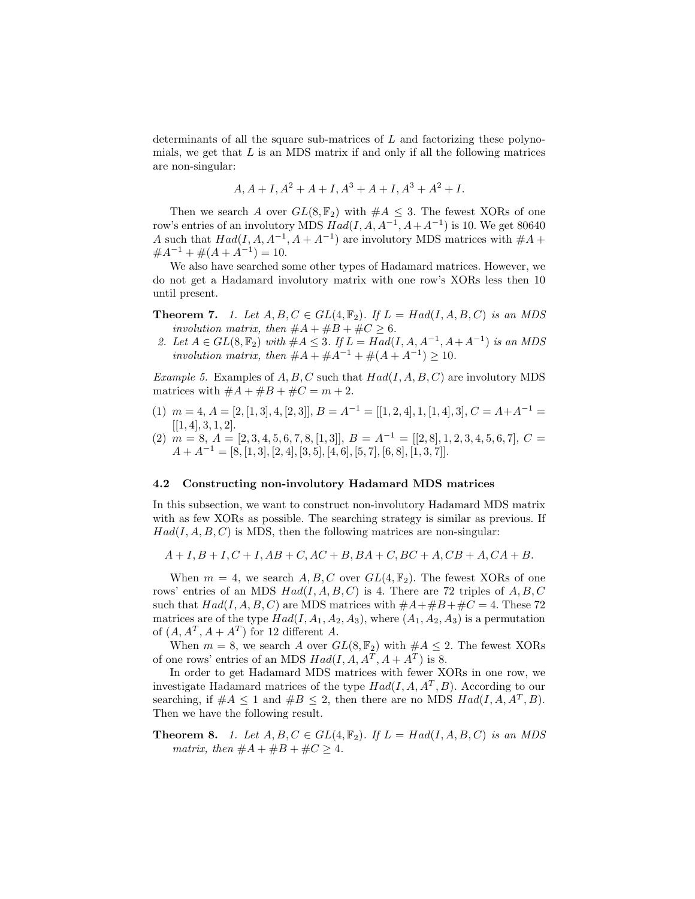determinants of all the square sub-matrices of L and factorizing these polynomials, we get that  $L$  is an MDS matrix if and only if all the following matrices are non-singular:

$$
A, A + I, A2 + A + I, A3 + A + I, A3 + A2 + I.
$$

Then we search A over  $GL(8, \mathbb{F}_2)$  with  $\#A \leq 3$ . The fewest XORs of one row's entries of an involutory MDS  $Had(I, A, A^{-1}, A+A^{-1})$  is 10. We get 80640 A such that  $Had(I, A, A^{-1}, A+A^{-1})$  are involutory MDS matrices with  $#A +$  $#A^{-1} + #(A + A^{-1}) = 10.$ 

We also have searched some other types of Hadamard matrices. However, we do not get a Hadamard involutory matrix with one row's XORs less then 10 until present.

- **Theorem 7.** 1. Let  $A, B, C \in GL(4, \mathbb{F}_2)$ . If  $L = Had(I, A, B, C)$  is an MDS involution matrix, then  $\#A + \#B + \#C \geq 6$ .
- 2. Let  $A \in GL(8, \mathbb{F}_2)$  with  $\#A \leq 3$ . If  $L = Had(I, A, A^{-1}, A + A^{-1})$  is an MDS involution matrix, then  $\#A + \#A^{-1} + \#(A + A^{-1}) \ge 10$ .

Example 5. Examples of  $A, B, C$  such that  $Had(I, A, B, C)$  are involutory MDS matrices with  $\#A + \#B + \#C = m + 2$ .

- (1)  $m = 4, A = [2, [1, 3], 4, [2, 3]], B = A^{-1} = [[1, 2, 4], 1, [1, 4], 3], C = A + A^{-1} =$  $[[1, 4], 3, 1, 2].$
- $(2)$   $m = 8$ ,  $A = [2, 3, 4, 5, 6, 7, 8, 1, 3], B = A^{-1} = [[2, 8], 1, 2, 3, 4, 5, 6, 7], C =$  $A + A^{-1} = [8, [1, 3], [2, 4], [3, 5], [4, 6], [5, 7], [6, 8], [1, 3, 7]].$

#### <span id="page-13-0"></span>4.2 Constructing non-involutory Hadamard MDS matrices

In this subsection, we want to construct non-involutory Hadamard MDS matrix with as few XORs as possible. The searching strategy is similar as previous. If  $Had(I, A, B, C)$  is MDS, then the following matrices are non-singular:

 $A + I, B + I, C + I, AB + C, AC + B, BA + C, BC + A, CB + A, CA + B.$ 

When  $m = 4$ , we search A, B, C over  $GL(4, \mathbb{F}_2)$ . The fewest XORs of one rows' entries of an MDS  $Had(I, A, B, C)$  is 4. There are 72 triples of  $A, B, C$ such that  $Had(I, A, B, C)$  are MDS matrices with  $#A+#B+#C = 4$ . These 72 matrices are of the type  $Had(I, A_1, A_2, A_3)$ , where  $(A_1, A_2, A_3)$  is a permutation of  $(A, A^T, A + A^T)$  for 12 different A.

When  $m = 8$ , we search A over  $GL(8, \mathbb{F}_2)$  with  $\#A \leq 2$ . The fewest XORs of one rows' entries of an MDS  $Had(I, A, A^T, A+A^T)$  is 8.

In order to get Hadamard MDS matrices with fewer XORs in one row, we investigate Hadamard matrices of the type  $Had(I,A,A^T,B)$ . According to our searching, if  $\#A \leq 1$  and  $\#B \leq 2$ , then there are no MDS  $Had(I, A, A^T, B)$ . Then we have the following result.

**Theorem 8.** 1. Let  $A, B, C \in GL(4, \mathbb{F}_2)$ . If  $L = Had(I, A, B, C)$  is an MDS matrix, then  $\#A + \#B + \#C \geq 4$ .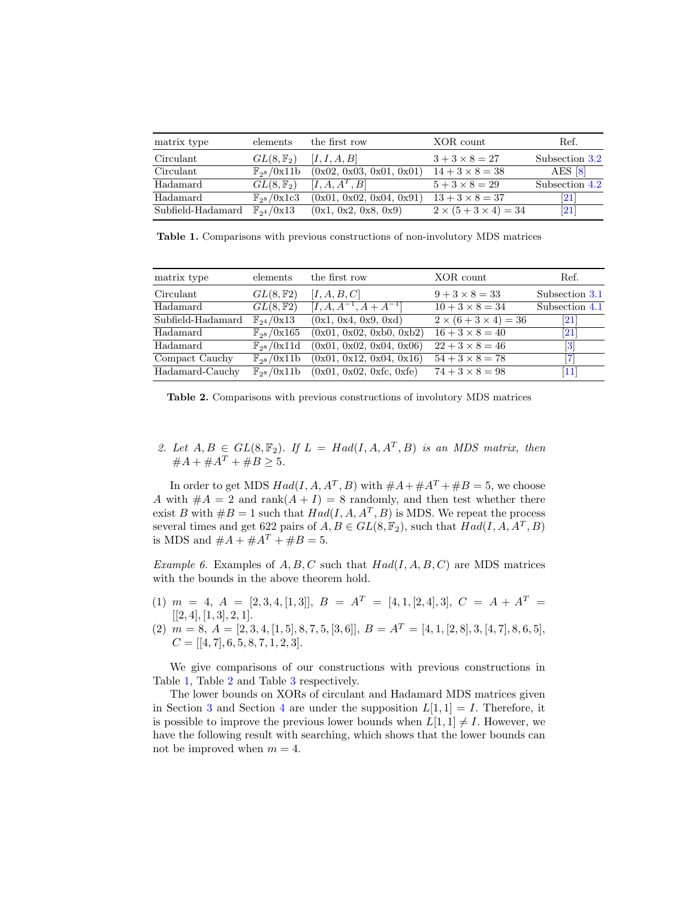| matrix type       | elements                | the first row              | XOR count                        | Ref.           |
|-------------------|-------------------------|----------------------------|----------------------------------|----------------|
| Circulant         | $GL(8,\mathbb{F}_2)$    | [I, I, A, B]               | $3 + 3 \times 8 = 27$            | Subsection 3.2 |
| Circulant         | $\mathbb{F}_{28}/0x11b$ | (0x02, 0x03, 0x01, 0x01)   | $14 + 3 \times 8 = 38$           | $AES$ $ 8 $    |
| Hadamard          | $GL(8,\mathbb{F}_2)$    | [I, A, A <sup>T</sup> , B] | $5 + 3 \times 8 = 29$            | Subsection 4.2 |
| Hadamard          | $\mathbb{F}_{28}/0x1c3$ | (0x01, 0x02, 0x04, 0x91)   | $13 + 3 \times 8 = 37$           | 21             |
| Subfield-Hadamard | $\mathbb{F}_{24}/0x13$  | (0x1, 0x2, 0x8, 0x9)       | $2 \times (5 + 3 \times 4) = 34$ | 21             |

<span id="page-14-0"></span>Table 1. Comparisons with previous constructions of non-involutory MDS matrices

| matrix type       | elements                | the first row                | XOR count                        | Ref.              |
|-------------------|-------------------------|------------------------------|----------------------------------|-------------------|
| Circulant         | $GL(8,\mathbb{F}2)$     | [I, A, B, C]                 | $9 + 3 \times 8 = 33$            | Subsection 3.1    |
| Hadamard          | $GL(8,\mathbb{F}_2)$    | $[I, A, A^{-1}, A + A^{-1}]$ | $10 + 3 \times 8 = 34$           | Subsection 4.1    |
| Subfield-Hadamard | $\mathbb{F}_{24}/0x13$  | (0x1, 0x4, 0x9, 0xd)         | $2 \times (6 + 3 \times 4) = 36$ | $\left 21\right $ |
| Hadamard          | $\mathbb{F}_{28}/0x165$ | (0x01, 0x02, 0xb0, 0xb2)     | $16 + 3 \times 8 = 40$           | 21                |
| Hadamard          | $\mathbb{F}_{28}/0x11d$ | (0x01, 0x02, 0x04, 0x06)     | $22 + 3 \times 8 = 46$           | 3                 |
| Compact Cauchy    | $\mathbb{F}_{28}/0x11b$ | (0x01, 0x12, 0x04, 0x16)     | $54 + 3 \times 8 = 78$           | 7                 |
| Hadamard-Cauchy   | $\mathbb{F}_{28}/0x11b$ | (0x01, 0x02, 0xfc, 0xfe)     | $74 + 3 \times 8 = 98$           | 11                |

<span id="page-14-1"></span>Table 2. Comparisons with previous constructions of involutory MDS matrices

# 2. Let  $A, B \in GL(8, \mathbb{F}_2)$ . If  $L = Had(I, A, A^T, B)$  is an MDS matrix, then  $#A + #A<sup>T</sup> + #B \ge 5.$

In order to get MDS  $Had(I,A,A^T,B)$  with  $#A+#A^T+#B=5$ , we choose A with  $#A = 2$  and rank $(A + I) = 8$  randomly, and then test whether there exist B with  $\#B = 1$  such that  $Had(I, A, A^T, B)$  is MDS. We repeat the process several times and get 622 pairs of  $A, B \in GL(8, \mathbb{F}_2)$ , such that  $Had(I, A, A^T, B)$ is MDS and  $\#A + \#A^T + \#B = 5$ .

Example 6. Examples of  $A, B, C$  such that  $Had(I, A, B, C)$  are MDS matrices with the bounds in the above theorem hold.

- (1)  $m = 4$ ,  $A = [2, 3, 4, [1, 3]]$ ,  $B = A<sup>T</sup> = [4, 1, [2, 4], 3]$ ,  $C = A + A<sup>T</sup> =$  $[[2, 4], [1, 3], 2, 1].$
- (2)  $m = 8, A = [2, 3, 4, [1, 5], 8, 7, 5, [3, 6]], B = A<sup>T</sup> = [4, 1, [2, 8], 3, [4, 7], 8, 6, 5],$  $C = [[4, 7], 6, 5, 8, 7, 1, 2, 3].$

We give comparisons of our constructions with previous constructions in Table [1,](#page-14-0) Table [2](#page-14-1) and Table [3](#page-15-1) respectively.

The lower bounds on XORs of circulant and Hadamard MDS matrices given in Section [3](#page-6-0) and Section [4](#page-12-0) are under the supposition  $L[1, 1] = I$ . Therefore, it is possible to improve the previous lower bounds when  $L[1, 1] \neq I$ . However, we have the following result with searching, which shows that the lower bounds can not be improved when  $m = 4$ .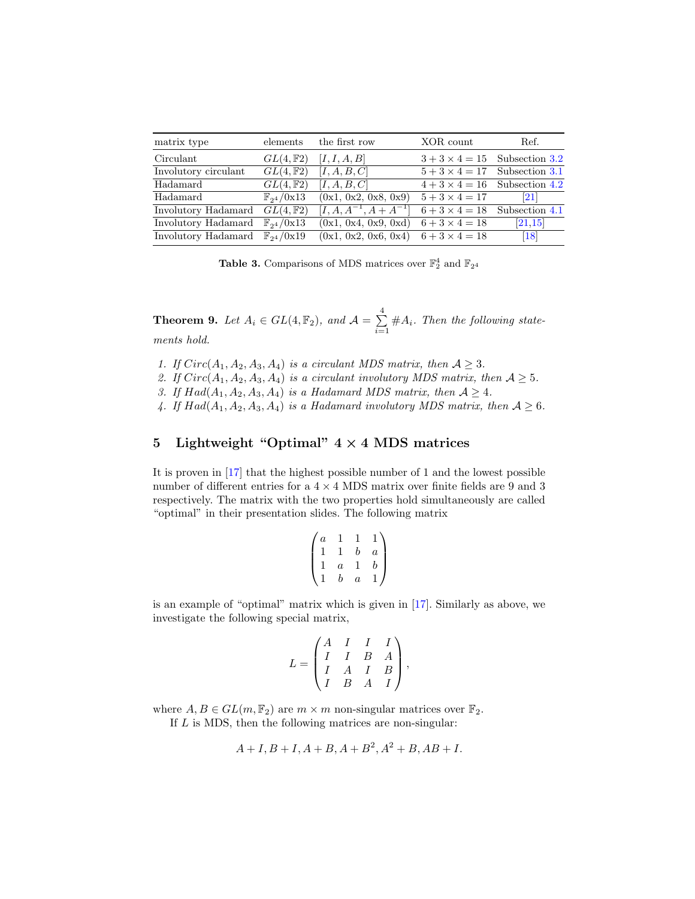| matrix type          | elements               | the first row                | XOR count                       | Ref.             |
|----------------------|------------------------|------------------------------|---------------------------------|------------------|
| Circulant            | $GL(4,\mathbb{F}2)$    | [I, I, A, B]                 | $3+3\times 4=15$ Subsection 3.2 |                  |
| Involutory circulant | $GL(4,\mathbb{F}2)$    | [I, A, B, C]                 | $5 + 3 \times 4 = 17$           | Subsection 3.1   |
| Hadamard             | $GL(4,\mathbb{F}2)$    | [I, A, B, C]                 | $4+3\times 4=16$ Subsection 4.2 |                  |
| Hadamard             | $\mathbb{F}_{24}/0x13$ | (0x1, 0x2, 0x8, 0x9)         | $5 + 3 \times 4 = 17$           | 21               |
| Involutory Hadamard  | $GL(4,\mathbb{F}2)$    | $[I, A, A^{-1}, A + A^{-1}]$ | $6 + 3 \times 4 = 18$           | Subsection 4.1   |
| Involutory Hadamard  | $\mathbb{F}_{24}/0x13$ | (0x1, 0x4, 0x9, 0xd)         | $6 + 3 \times 4 = 18$           | 21,15            |
| Involutory Hadamard  | $\mathbb{F}_{24}/0x19$ | (0x1, 0x2, 0x6, 0x4)         | $6 + 3 \times 4 = 18$           | $\vert 18 \vert$ |

<span id="page-15-1"></span>**Table 3.** Comparisons of MDS matrices over  $\mathbb{F}_2^4$  and  $\mathbb{F}_{24}$ 

**Theorem 9.** Let  $A_i \in GL(4, \mathbb{F}_2)$ , and  $\mathcal{A} = \sum_{i=1}^{4} A_i$  $\sum_{i=1} \#A_i$ . Then the following statements hold.

- 1. If  $Circ(A_1, A_2, A_3, A_4)$  is a circulant MDS matrix, then  $A \geq 3$ .
- 2. If  $Circ(A_1, A_2, A_3, A_4)$  is a circulant involutory MDS matrix, then  $A \geq 5$ .
- 3. If  $Had(A_1, A_2, A_3, A_4)$  is a Hadamard MDS matrix, then  $A \geq 4$ .

4. If  $Had(A_1, A_2, A_3, A_4)$  is a Hadamard involutory MDS matrix, then  $A \geq 6$ .

# <span id="page-15-0"></span>5 Lightweight "Optimal"  $4 \times 4$  MDS matrices

It is proven in [\[17\]](#page-17-17) that the highest possible number of 1 and the lowest possible number of different entries for a  $4 \times 4$  MDS matrix over finite fields are 9 and 3 respectively. The matrix with the two properties hold simultaneously are called "optimal" in their presentation slides. The following matrix

$$
\begin{pmatrix} a & 1 & 1 & 1 \\ 1 & 1 & b & a \\ 1 & a & 1 & b \\ 1 & b & a & 1 \end{pmatrix}
$$

is an example of "optimal" matrix which is given in [\[17\]](#page-17-17). Similarly as above, we investigate the following special matrix,

$$
L = \begin{pmatrix} A & I & I & I \\ I & I & B & A \\ I & A & I & B \\ I & B & A & I \end{pmatrix},
$$

where  $A, B \in GL(m, \mathbb{F}_2)$  are  $m \times m$  non-singular matrices over  $\mathbb{F}_2$ . If  $L$  is MDS, then the following matrices are non-singular:

$$
A + I, B + I, A + B, A + B2, A2 + B, AB + I.
$$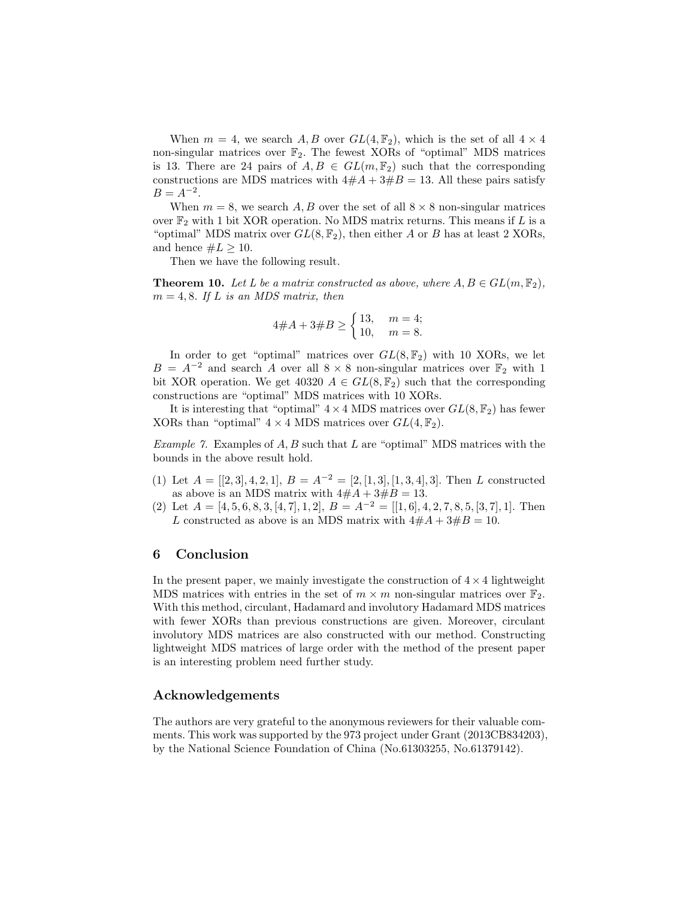When  $m = 4$ , we search A, B over  $GL(4, \mathbb{F}_2)$ , which is the set of all  $4 \times 4$ non-singular matrices over  $\mathbb{F}_2$ . The fewest XORs of "optimal" MDS matrices is 13. There are 24 pairs of  $A, B \in GL(m, \mathbb{F}_2)$  such that the corresponding constructions are MDS matrices with  $4\#A + 3\#B = 13$ . All these pairs satisfy  $B = A^{-2}$ .

When  $m = 8$ , we search A, B over the set of all  $8 \times 8$  non-singular matrices over  $\mathbb{F}_2$  with 1 bit XOR operation. No MDS matrix returns. This means if L is a "optimal" MDS matrix over  $GL(8, \mathbb{F}_2)$ , then either A or B has at least 2 XORs, and hence  $\#L \geq 10$ .

Then we have the following result.

**Theorem 10.** Let L be a matrix constructed as above, where  $A, B \in GL(m, \mathbb{F}_2)$ ,  $m = 4, 8$ . If L is an MDS matrix, then

$$
4\#A + 3\#B \ge \begin{cases} 13, & m = 4; \\ 10, & m = 8. \end{cases}
$$

In order to get "optimal" matrices over  $GL(8, \mathbb{F}_2)$  with 10 XORs, we let  $B = A^{-2}$  and search A over all 8 × 8 non-singular matrices over  $\mathbb{F}_2$  with 1 bit XOR operation. We get 40320  $A \in GL(8, \mathbb{F}_2)$  such that the corresponding constructions are "optimal" MDS matrices with 10 XORs.

It is interesting that "optimal"  $4 \times 4$  MDS matrices over  $GL(8, \mathbb{F}_2)$  has fewer XORs than "optimal"  $4 \times 4$  MDS matrices over  $GL(4, \mathbb{F}_2)$ .

Example 7. Examples of  $A, B$  such that  $L$  are "optimal" MDS matrices with the bounds in the above result hold.

- (1) Let  $A = [[2,3],4,2,1], B = A^{-2} = [2,[1,3],[1,3,4],3].$  Then L constructed as above is an MDS matrix with  $4\#A + 3\#B = 13$ .
- (2) Let  $A = [4, 5, 6, 8, 3, [4, 7], 1, 2], B = A^{-2} = [[1, 6], 4, 2, 7, 8, 5, 5, 3, 7], 1].$  Then L constructed as above is an MDS matrix with  $4\#A + 3\#B = 10$ .

### <span id="page-16-0"></span>6 Conclusion

In the present paper, we mainly investigate the construction of  $4 \times 4$  lightweight MDS matrices with entries in the set of  $m \times m$  non-singular matrices over  $\mathbb{F}_2$ . With this method, circulant, Hadamard and involutory Hadamard MDS matrices with fewer XORs than previous constructions are given. Moreover, circulant involutory MDS matrices are also constructed with our method. Constructing lightweight MDS matrices of large order with the method of the present paper is an interesting problem need further study.

# Acknowledgements

The authors are very grateful to the anonymous reviewers for their valuable comments. This work was supported by the 973 project under Grant (2013CB834203), by the National Science Foundation of China (No.61303255, No.61379142).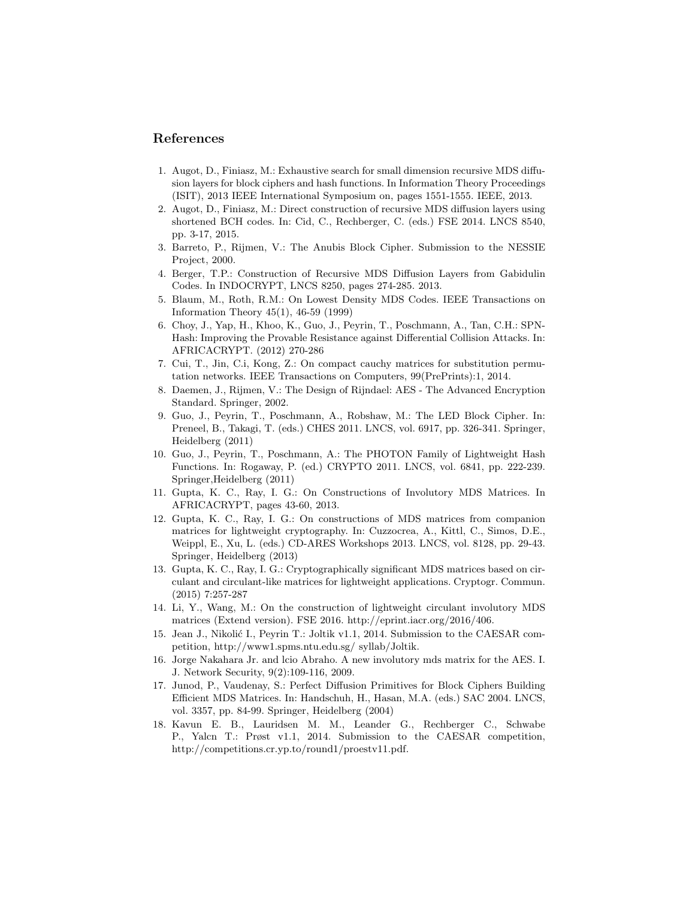### References

- <span id="page-17-2"></span>1. Augot, D., Finiasz, M.: Exhaustive search for small dimension recursive MDS diffusion layers for block ciphers and hash functions. In Information Theory Proceedings (ISIT), 2013 IEEE International Symposium on, pages 1551-1555. IEEE, 2013.
- <span id="page-17-5"></span>2. Augot, D., Finiasz, M.: Direct construction of recursive MDS diffusion layers using shortened BCH codes. In: Cid, C., Rechberger, C. (eds.) FSE 2014. LNCS 8540, pp. 3-17, 2015.
- <span id="page-17-12"></span>3. Barreto, P., Rijmen, V.: The Anubis Block Cipher. Submission to the NESSIE Project, 2000.
- <span id="page-17-4"></span>4. Berger, T.P.: Construction of Recursive MDS Diffusion Layers from Gabidulin Codes. In INDOCRYPT, LNCS 8250, pages 274-285. 2013.
- <span id="page-17-8"></span>5. Blaum, M., Roth, R.M.: On Lowest Density MDS Codes. IEEE Transactions on Information Theory 45(1), 46-59 (1999)
- <span id="page-17-10"></span>6. Choy, J., Yap, H., Khoo, K., Guo, J., Peyrin, T., Poschmann, A., Tan, C.H.: SPN-Hash: Improving the Provable Resistance against Differential Collision Attacks. In: AFRICACRYPT. (2012) 270-286
- <span id="page-17-13"></span>7. Cui, T., Jin, C.i, Kong, Z.: On compact cauchy matrices for substitution permutation networks. IEEE Transactions on Computers, 99(PrePrints):1, 2014.
- <span id="page-17-11"></span>8. Daemen, J., Rijmen, V.: The Design of Rijndael: AES - The Advanced Encryption Standard. Springer, 2002.
- <span id="page-17-1"></span>9. Guo, J., Peyrin, T., Poschmann, A., Robshaw, M.: The LED Block Cipher. In: Preneel, B., Takagi, T. (eds.) CHES 2011. LNCS, vol. 6917, pp. 326-341. Springer, Heidelberg (2011)
- <span id="page-17-0"></span>10. Guo, J., Peyrin, T., Poschmann, A.: The PHOTON Family of Lightweight Hash Functions. In: Rogaway, P. (ed.) CRYPTO 2011. LNCS, vol. 6841, pp. 222-239. Springer,Heidelberg (2011)
- <span id="page-17-14"></span>11. Gupta, K. C., Ray, I. G.: On Constructions of Involutory MDS Matrices. In AFRICACRYPT, pages 43-60, 2013.
- <span id="page-17-3"></span>12. Gupta, K. C., Ray, I. G.: On constructions of MDS matrices from companion matrices for lightweight cryptography. In: Cuzzocrea, A., Kittl, C., Simos, D.E., Weippl, E., Xu, L. (eds.) CD-ARES Workshops 2013. LNCS, vol. 8128, pp. 29-43. Springer, Heidelberg (2013)
- <span id="page-17-7"></span>13. Gupta, K. C., Ray, I. G.: Cryptographically significant MDS matrices based on circulant and circulant-like matrices for lightweight applications. Cryptogr. Commun. (2015) 7:257-287
- <span id="page-17-9"></span>14. Li, Y., Wang, M.: On the construction of lightweight circulant involutory MDS matrices (Extend version). FSE 2016. http://eprint.iacr.org/2016/406.
- <span id="page-17-15"></span>15. Jean J., Nikolić I., Peyrin T.: Joltik v1.1, 2014. Submission to the CAESAR competition, http://www1.spms.ntu.edu.sg/ syllab/Joltik.
- <span id="page-17-6"></span>16. Jorge Nakahara Jr. and lcio Abraho. A new involutory mds matrix for the AES. I. J. Network Security, 9(2):109-116, 2009.
- <span id="page-17-17"></span>17. Junod, P., Vaudenay, S.: Perfect Diffusion Primitives for Block Ciphers Building Efficient MDS Matrices. In: Handschuh, H., Hasan, M.A. (eds.) SAC 2004. LNCS, vol. 3357, pp. 84-99. Springer, Heidelberg (2004)
- <span id="page-17-16"></span>18. Kavun E. B., Lauridsen M. M., Leander G., Rechberger C., Schwabe P., Yalcn T.: Prøst v1.1, 2014. Submission to the CAESAR competition, http://competitions.cr.yp.to/round1/proestv11.pdf.